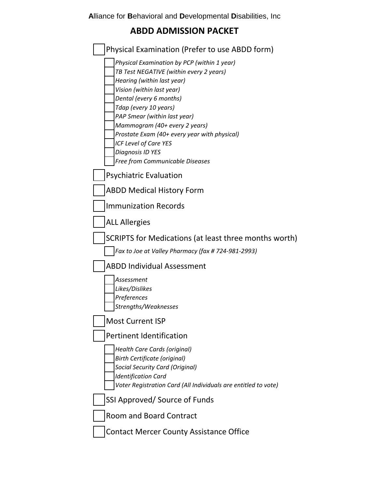## **ABDD ADMISSION PACKET**

| Physical Examination (Prefer to use ABDD form)                                                                                                                                                                                                                                                                                                                                                         |
|--------------------------------------------------------------------------------------------------------------------------------------------------------------------------------------------------------------------------------------------------------------------------------------------------------------------------------------------------------------------------------------------------------|
| Physical Examination by PCP (within 1 year)<br>TB Test NEGATIVE (within every 2 years)<br>Hearing (within last year)<br>Vision (within last year)<br>Dental (every 6 months)<br>Tdap (every 10 years)<br>PAP Smear (within last year)<br>Mammogram (40+ every 2 years)<br>Prostate Exam (40+ every year with physical)<br>ICF Level of Care YES<br>Diagnosis ID YES<br>Free from Communicable Diseases |
| <b>Psychiatric Evaluation</b>                                                                                                                                                                                                                                                                                                                                                                          |
| <b>ABDD Medical History Form</b>                                                                                                                                                                                                                                                                                                                                                                       |
| <b>Immunization Records</b>                                                                                                                                                                                                                                                                                                                                                                            |
| <b>ALL Allergies</b>                                                                                                                                                                                                                                                                                                                                                                                   |
| SCRIPTS for Medications (at least three months worth)                                                                                                                                                                                                                                                                                                                                                  |
| Fax to Joe at Valley Pharmacy (fax # 724-981-2993)                                                                                                                                                                                                                                                                                                                                                     |
| <b>ABDD Individual Assessment</b>                                                                                                                                                                                                                                                                                                                                                                      |
| Assessment<br>Likes/Dislikes<br>Preferences<br>Strengths/Weaknesses                                                                                                                                                                                                                                                                                                                                    |
| <b>Most Current ISP</b>                                                                                                                                                                                                                                                                                                                                                                                |
| <b>Pertinent Identification</b>                                                                                                                                                                                                                                                                                                                                                                        |
| Health Care Cards (original)<br><b>Birth Certificate (original)</b><br><b>Social Security Card (Original)</b><br><b>Identification Card</b><br>Voter Registration Card (All Individuals are entitled to vote)                                                                                                                                                                                          |
| SSI Approved/ Source of Funds                                                                                                                                                                                                                                                                                                                                                                          |
| <b>Room and Board Contract</b>                                                                                                                                                                                                                                                                                                                                                                         |
| <b>Contact Mercer County Assistance Office</b>                                                                                                                                                                                                                                                                                                                                                         |